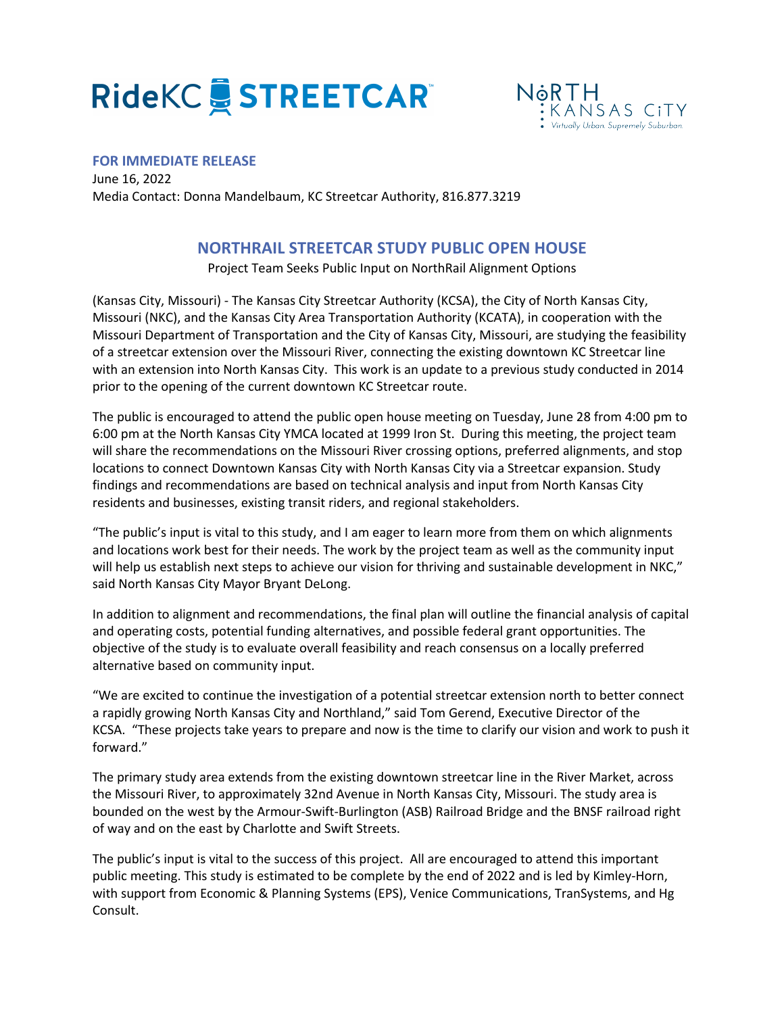## **RideKC STREETCART**



## **FOR IMMEDIATE RELEASE**

June 16, 2022 Media Contact: Donna Mandelbaum, KC Streetcar Authority, 816.877.3219

## **NORTHRAIL STREETCAR STUDY PUBLIC OPEN HOUSE**

Project Team Seeks Public Input on NorthRail Alignment Options

(Kansas City, Missouri) - The Kansas City Streetcar Authority (KCSA), the City of North Kansas City, Missouri (NKC), and the Kansas City Area Transportation Authority (KCATA), in cooperation with the Missouri Department of Transportation and the City of Kansas City, Missouri, are studying the feasibility of a streetcar extension over the Missouri River, connecting the existing downtown KC Streetcar line with an extension into North Kansas City. This work is an update to a previous study conducted in 2014 prior to the opening of the current downtown KC Streetcar route.

The public is encouraged to attend the public open house meeting on Tuesday, June 28 from 4:00 pm to 6:00 pm at the North Kansas City YMCA located at 1999 Iron St. During this meeting, the project team will share the recommendations on the Missouri River crossing options, preferred alignments, and stop locations to connect Downtown Kansas City with North Kansas City via a Streetcar expansion. Study findings and recommendations are based on technical analysis and input from North Kansas City residents and businesses, existing transit riders, and regional stakeholders.

"The public's input is vital to this study, and I am eager to learn more from them on which alignments and locations work best for their needs. The work by the project team as well as the community input will help us establish next steps to achieve our vision for thriving and sustainable development in NKC," said North Kansas City Mayor Bryant DeLong.

In addition to alignment and recommendations, the final plan will outline the financial analysis of capital and operating costs, potential funding alternatives, and possible federal grant opportunities. The objective of the study is to evaluate overall feasibility and reach consensus on a locally preferred alternative based on community input.

"We are excited to continue the investigation of a potential streetcar extension north to better connect a rapidly growing North Kansas City and Northland," said Tom Gerend, Executive Director of the KCSA. "These projects take years to prepare and now is the time to clarify our vision and work to push it forward."

The primary study area extends from the existing downtown streetcar line in the River Market, across the Missouri River, to approximately 32nd Avenue in North Kansas City, Missouri. The study area is bounded on the west by the Armour-Swift-Burlington (ASB) Railroad Bridge and the BNSF railroad right of way and on the east by Charlotte and Swift Streets.

The public's input is vital to the success of this project. All are encouraged to attend this important public meeting. This study is estimated to be complete by the end of 2022 and is led by Kimley-Horn, with support from Economic & Planning Systems (EPS), Venice Communications, TranSystems, and Hg Consult.